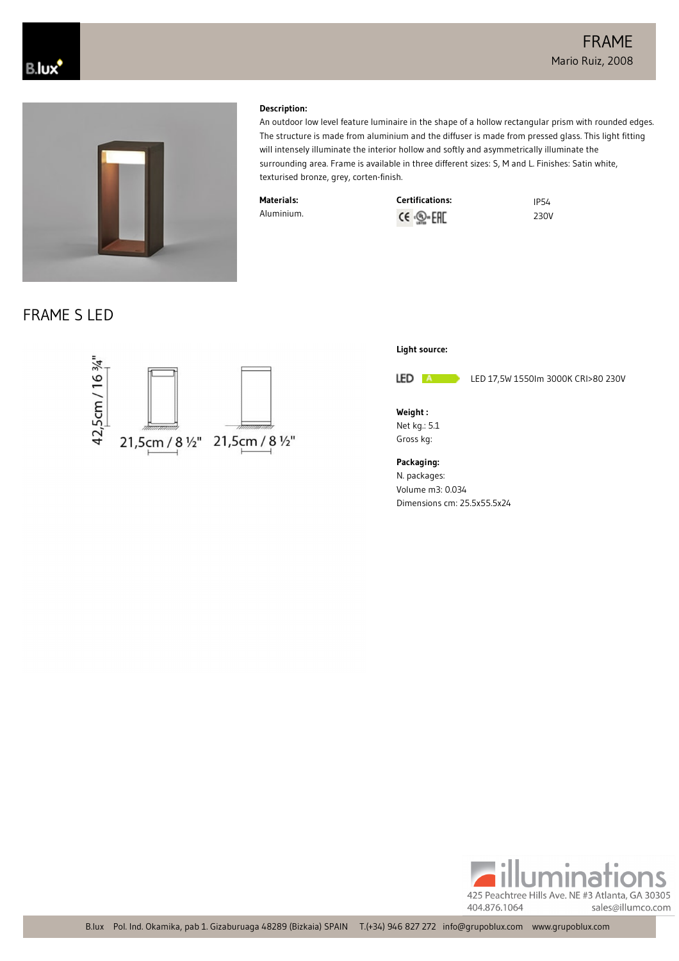

#### **Description:**

An outdoor low level feature luminaire in the shape of a hollow rectangular prism with rounded edges. The structure is made from aluminium and the diffuser is made from pressed glass. This light fitting will intensely illuminate the interior hollow and softly and asymmetrically illuminate the surrounding area. Frame is available in three different sizes: S, M and L. Finishes: Satin white, texturised bronze, grey, corten-finish.

**Materials:** Aluminium.

| <b>Certifications:</b>  | <b>IP54</b> |
|-------------------------|-------------|
| CE · <sub>©</sub> · EHE | 230V        |

FRAME S LED





LED A

LED 17,5W 1550lm 3000K CRI>80 230V

**Weight :** Net kg.: 5.1 Gross kg:

**Packaging:**

N. packages: Volume m3: 0.034 Dimensions cm: 25.5x55.5x24

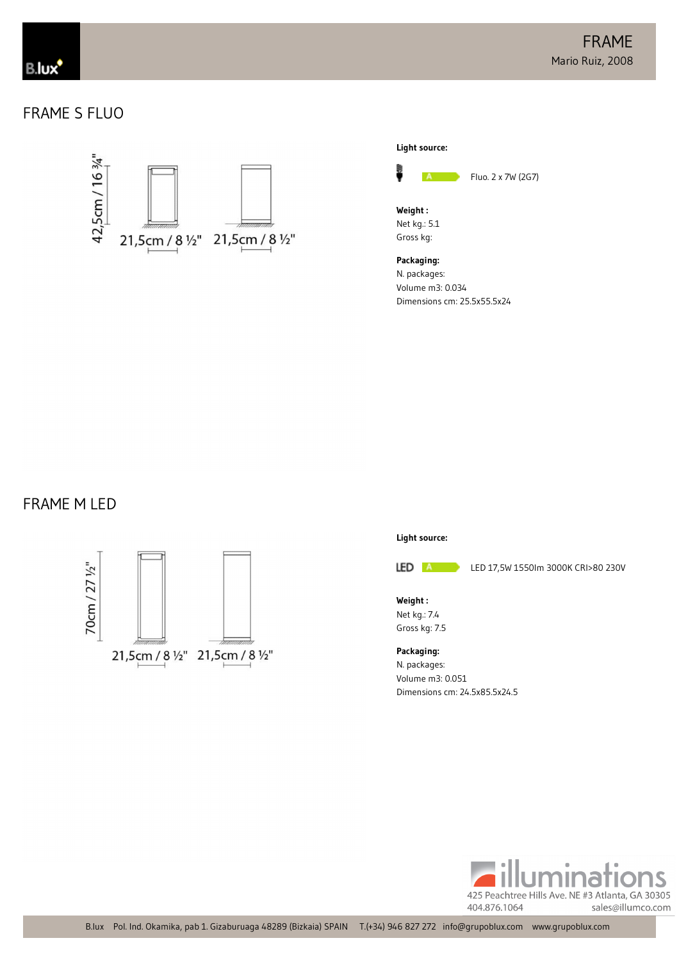# FRAME S FLUO





**Weight :** Net kg.: 5.1 Gross kg:

**Packaging:** N. packages: Volume m3: 0.034 Dimensions cm: 25.5x55.5x24

### FRAME M LED



#### **Light source:**



LED 17,5W 1550lm 3000K CRI>80 230V

**Weight :** Net kg.: 7.4 Gross kg: 7.5

**Packaging:** N. packages: Volume m3: 0.051 Dimensions cm: 24.5x85.5x24.5

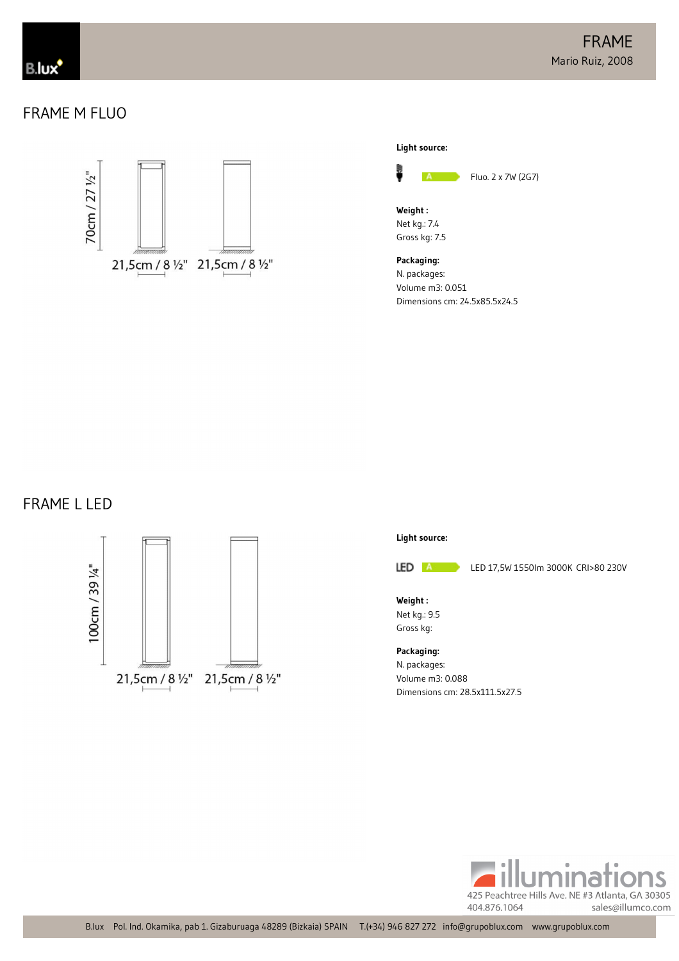## FRAME M FLUO





**Weight :** Net kg.: 7.4 Gross kg: 7.5

**Packaging:** N. packages: Volume m3: 0.051 Dimensions cm: 24.5x85.5x24.5

### FRAME L LED



#### **Light source:**



LED 17,5W 1550lm 3000K CRI>80 230V

**Weight :** Net kg.: 9.5 Gross kg:

**Packaging:** N. packages: Volume m3: 0.088 Dimensions cm: 28.5x111.5x27.5